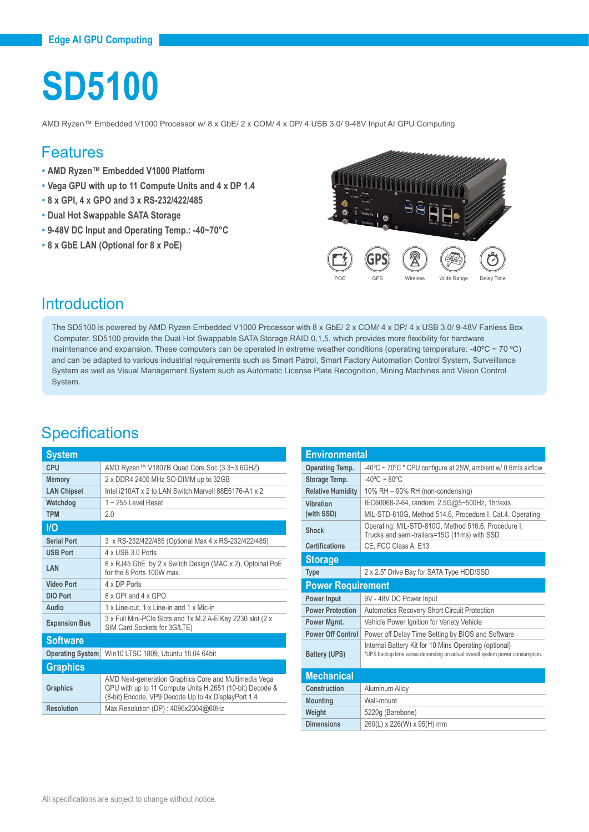# **SD5100**

AMD Ryzen™ Embedded V1000 Processor w/ 8 x GbE/ 2 x COM/ 4 x DP/ 4 USB 3.0/ 9-48V Input AI GPU Computing

#### Features

- **• AMD Ryzen™ Embedded V1000 Platform**
- **• Vega GPU with up to 11 Compute Units and 4 x DP 1.4**
- **• 8 x GPI, 4 x GPO and 3 x RS-232/422/485**
- **• Dual Hot Swappable SATA Storage**
- **• 9-48V DC Input and Operating Temp.: -40~70°C**
- **• 8 x GbE LAN (Optional for 8 x PoE)**



#### **Introduction**

The SD5100 is powered by AMD Ryzen Embedded V1000 Processor with 8 x GbE/ 2 x COM/ 4 x DP/ 4 x USB 3.0/ 9-48V Fanless Box Computer. SD5100 provide the Dual Hot Swappable SATA Storage RAID 0,1,5, which provides more flexibility for hardware maintenance and expansion. These computers can be operated in extreme weather conditions (operating temperature: -40 $\degree$ C ~ 70 $\degree$ C) and can be adapted to various industrial requirements such as Smart Patrol, Smart Factory Automation Control System, Surveillance System as well as Visual Management System such as Automatic License Plate Recognition, Mining Machines and Vision Control System.

#### **Specifications**

| <b>System</b>           |                                                                                                                                                                          |  |
|-------------------------|--------------------------------------------------------------------------------------------------------------------------------------------------------------------------|--|
| CPU                     | AMD Ryzen™ V1807B Quad Core Soc (3.3~3.6GHZ)                                                                                                                             |  |
| <b>Memory</b>           | 2 x DDR4 2400 MHz SO-DIMM up to 32GB                                                                                                                                     |  |
| <b>LAN Chipset</b>      | Intel i210AT x 2 to LAN Switch Marvell 88E6176-A1 x 2                                                                                                                    |  |
| Watchdog                | $1 \sim 255$ Level Reset                                                                                                                                                 |  |
| <b>TPM</b>              | 20                                                                                                                                                                       |  |
| <b>I/O</b>              |                                                                                                                                                                          |  |
| <b>Serial Port</b>      | 3 x RS-232/422/485 (Optional Max 4 x RS-232/422/485)                                                                                                                     |  |
| <b>USB Port</b>         | 4 x USB 3 0 Ports                                                                                                                                                        |  |
| LAN                     | 8 x RJ45 GbE by 2 x Switch Design (MAC x 2), Optoinal PoE<br>for the 8 Ports 100W max                                                                                    |  |
| <b>Video Port</b>       | 4 x DP Ports                                                                                                                                                             |  |
| <b>DIO Port</b>         | 8 x GPI and 4 x GPO                                                                                                                                                      |  |
| Audio                   | 1 x Line-out, 1 x Line-in and 1 x Mic-in                                                                                                                                 |  |
| <b>Expansion Bus</b>    | 3 x Full Mini-PCle Slots and 1x M.2 A-E Key 2230 slot (2 x<br>SIM Card Sockets for 3G/LTE)                                                                               |  |
| <b>Software</b>         |                                                                                                                                                                          |  |
| <b>Operating System</b> | Win10 LTSC 1809, Ubuntu 18.04 64bit                                                                                                                                      |  |
| <b>Graphics</b>         |                                                                                                                                                                          |  |
| <b>Graphics</b>         | AMD Next-generation Graphics Core and Multimedia Vega<br>GPU with up to 11 Compute Units H.2651 (10-bit) Decode &<br>(8-bit) Encode, VP9 Decode Up to 4x DisplayPort 1.4 |  |
| <b>Resolution</b>       | Max Resolution (DP): 4096x2304@60Hz                                                                                                                                      |  |
|                         |                                                                                                                                                                          |  |

| <b>Environmental</b>     |                                                                                                                                        |  |
|--------------------------|----------------------------------------------------------------------------------------------------------------------------------------|--|
| <b>Operating Temp.</b>   | $-40^{\circ}$ C ~ 70 $^{\circ}$ C * CPU configure at 25W, ambient w/ 0.6m/s airflow                                                    |  |
| Storage Temp.            | $-40^{\circ}$ C ~ 80°C                                                                                                                 |  |
| <b>Relative Humidity</b> | 10% RH - 90% RH (non-condensing)                                                                                                       |  |
| Vihration<br>(with SSD)  | IEC60068-2-64, random, 2.5G@5~500Hz, 1hr/axis                                                                                          |  |
|                          | MIL-STD-810G, Method 514.6, Procedure I, Cat.4, Operating                                                                              |  |
| Shock                    | Operating: MIL-STD-810G, Method 516.6, Procedure I,<br>Trucks and semi-trailers=15G (11ms) with SSD                                    |  |
| <b>Certifications</b>    | CE, FCC Class A, E13                                                                                                                   |  |
| <b>Storage</b>           |                                                                                                                                        |  |
| <b>Type</b>              | 2 x 2.5" Drive Bay for SATA Type HDD/SSD                                                                                               |  |
| <b>Power Requirement</b> |                                                                                                                                        |  |
| <b>Power Input</b>       | 9V - 48V DC Power Input                                                                                                                |  |
| <b>Power Protection</b>  | <b>Automatics Recovery Short Circuit Protection</b>                                                                                    |  |
| Power Mgmt.              | Vehicle Power Ignition for Variety Vehicle                                                                                             |  |
| <b>Power Off Control</b> | Power off Delay Time Setting by BIOS and Software                                                                                      |  |
| <b>Battery (UPS)</b>     | Internal Battery Kit for 10 Mins Operating (optional)<br>*UPS backup time varies depending on actual overall system power consumption. |  |
| <b>Mechanical</b>        |                                                                                                                                        |  |
| Construction             | Aluminum Alloy                                                                                                                         |  |
| <b>Mounting</b>          | Wall-mount                                                                                                                             |  |
| Weight                   | 5220q (Barebone)                                                                                                                       |  |
| <b>Dimensions</b>        | 260(L) x 226(W) x 95(H) mm                                                                                                             |  |
|                          |                                                                                                                                        |  |